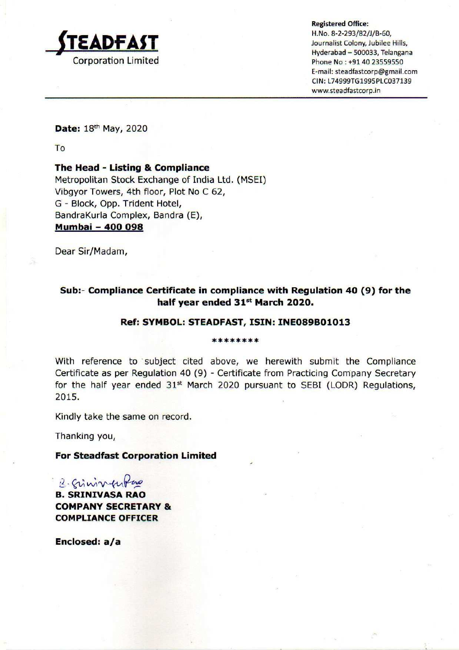

Registered Office:

H.No, 8-2-293/82/1/B-60, Journalist Colony, Jubilee Hills, Hyderabad — 500033, Telangana Phone No : +91 40 23559550 E-mail: steadfastcorp@gmail.com CIN: L74999TG199SPLC037139 www.steadfastcorp.in

Date: 18th May, 2020

To

# The Head - Listing & Compliance

Metropolitan Stock Exchange of India Ltd. (MSEI) Vibgyor Towers, 4th floor, Plot No C 62, G - Block, Opp. Trident Hotel, BandraKurla Complex, Bandra (E), Mumbai - 400 098

Dear Sir/Madam,

# Sub:- Compliance Certificate in compliance with Regulation 40 (9) for the half year ended 31<sup>st</sup> March 2020.

# Ref: SYMBOL: STEADFAST, ISIN: INE089B01013

#### \*\*\*\*\*\*\*\*

With reference to subject cited above, we herewith submit the Compliance Certificate as per Regulation 40 (9) - Certificate from Practicing Company Secretary for the half year ended 31<sup>st</sup> March 2020 pursuant to SEBI (LODR) Regulations, 2015.

Kindly take the same on record.

Thanking you,

# For Steadfast Corporation Limited

2-Gimmunfus B. SRINIVASA RAO COMPANY SECRETARY & COMPLIANCE OFFICER

Enclosed: a/a